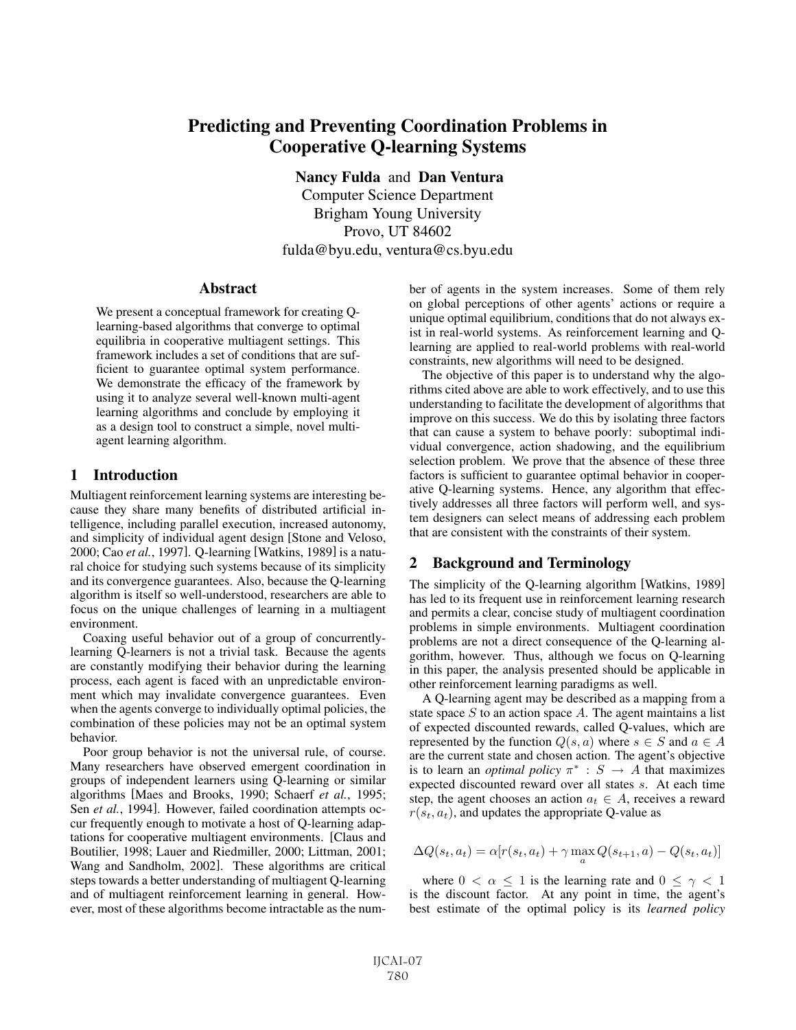# Predicting and Preventing Coordination Problems in Cooperative Q-learning Systems

Nancy Fulda and Dan Ventura

Computer Science Department Brigham Young University Provo, UT 84602 fulda@byu.edu, ventura@cs.byu.edu

#### Abstract

We present a conceptual framework for creating Qlearning-based algorithms that converge to optimal equilibria in cooperative multiagent settings. This framework includes a set of conditions that are sufficient to guarantee optimal system performance. We demonstrate the efficacy of the framework by using it to analyze several well-known multi-agent learning algorithms and conclude by employing it as a design tool to construct a simple, novel multiagent learning algorithm.

### 1 Introduction

Multiagent reinforcement learning systems are interesting because they share many benefits of distributed artificial intelligence, including parallel execution, increased autonomy, and simplicity of individual agent design [Stone and Veloso, 2000; Cao *et al.*, 1997]. Q-learning [Watkins, 1989] is a natural choice for studying such systems because of its simplicity and its convergence guarantees. Also, because the Q-learning algorithm is itself so well-understood, researchers are able to focus on the unique challenges of learning in a multiagent environment.

Coaxing useful behavior out of a group of concurrentlylearning Q-learners is not a trivial task. Because the agents are constantly modifying their behavior during the learning process, each agent is faced with an unpredictable environment which may invalidate convergence guarantees. Even when the agents converge to individually optimal policies, the combination of these policies may not be an optimal system behavior.

Poor group behavior is not the universal rule, of course. Many researchers have observed emergent coordination in groups of independent learners using Q-learning or similar algorithms [Maes and Brooks, 1990; Schaerf *et al.*, 1995; Sen *et al.*, 1994]. However, failed coordination attempts occur frequently enough to motivate a host of Q-learning adaptations for cooperative multiagent environments. [Claus and Boutilier, 1998; Lauer and Riedmiller, 2000; Littman, 2001; Wang and Sandholm, 2002]. These algorithms are critical steps towards a better understanding of multiagent Q-learning and of multiagent reinforcement learning in general. However, most of these algorithms become intractable as the number of agents in the system increases. Some of them rely on global perceptions of other agents' actions or require a unique optimal equilibrium, conditions that do not always exist in real-world systems. As reinforcement learning and Qlearning are applied to real-world problems with real-world constraints, new algorithms will need to be designed.

The objective of this paper is to understand why the algorithms cited above are able to work effectively, and to use this understanding to facilitate the development of algorithms that improve on this success. We do this by isolating three factors that can cause a system to behave poorly: suboptimal individual convergence, action shadowing, and the equilibrium selection problem. We prove that the absence of these three factors is sufficient to guarantee optimal behavior in cooperative Q-learning systems. Hence, any algorithm that effectively addresses all three factors will perform well, and system designers can select means of addressing each problem that are consistent with the constraints of their system.

## 2 Background and Terminology

The simplicity of the Q-learning algorithm [Watkins, 1989] has led to its frequent use in reinforcement learning research and permits a clear, concise study of multiagent coordination problems in simple environments. Multiagent coordination problems are not a direct consequence of the Q-learning algorithm, however. Thus, although we focus on Q-learning in this paper, the analysis presented should be applicable in other reinforcement learning paradigms as well.

A Q-learning agent may be described as a mapping from a state space  $S$  to an action space  $A$ . The agent maintains a list of expected discounted rewards, called Q-values, which are represented by the function  $Q(s, a)$  where  $s \in S$  and  $a \in A$ are the current state and chosen action. The agent's objective is to learn an *optimal policy*  $\pi^*$  :  $S \rightarrow A$  that maximizes expected discounted reward over all states s. At each time step, the agent chooses an action  $a_t \in A$ , receives a reward  $r(s_t, a_t)$ , and updates the appropriate Q-value as

$$
\Delta Q(s_t, a_t) = \alpha [r(s_t, a_t) + \gamma \max_a Q(s_{t+1}, a) - Q(s_t, a_t)]
$$

where  $0 < \alpha \leq 1$  is the learning rate and  $0 \leq \gamma < 1$ is the discount factor. At any point in time, the agent's best estimate of the optimal policy is its *learned policy*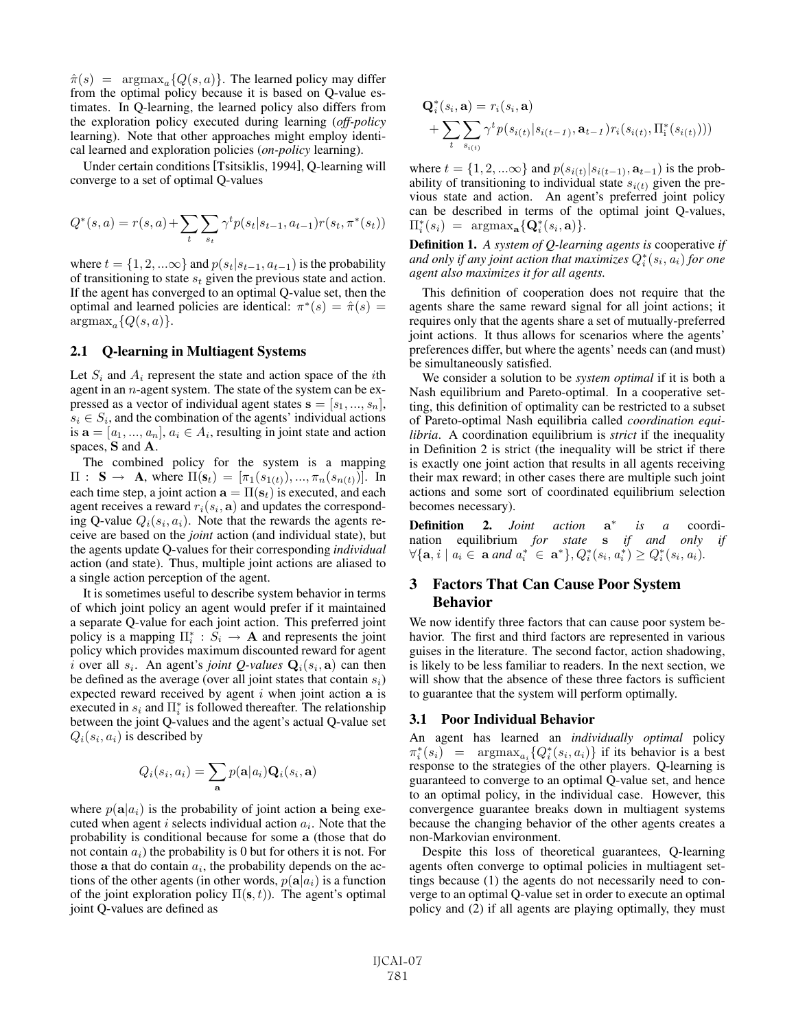$\hat{\pi}(s)$  = argmax<sub>a</sub>{ $Q(s, a)$ }. The learned policy may differ from the optimal policy because it is based on Q-value estimates. In Q-learning, the learned policy also differs from the exploration policy executed during learning (*off-policy* learning). Note that other approaches might employ identical learned and exploration policies (*on-policy* learning).

Under certain conditions [Tsitsiklis, 1994], Q-learning will converge to a set of optimal Q-values

$$
Q^*(s, a) = r(s, a) + \sum_{t} \sum_{s_t} \gamma^t p(s_t | s_{t-1}, a_{t-1}) r(s_t, \pi^*(s_t))
$$

where  $t = \{1, 2, ...\infty\}$  and  $p(s_t|s_{t-1}, a_{t-1})$  is the probability of transitioning to state  $s_t$  given the previous state and action. If the agent has converged to an optimal Q-value set, then the optimal and learned policies are identical:  $\pi^*(s) = \hat{\pi}(s) =$  $argmax_a\{Q(s, a)\}.$ 

### 2.1 Q-learning in Multiagent Systems

Let  $S_i$  and  $A_i$  represent the state and action space of the *i*th agent in an  $n$ -agent system. The state of the system can be expressed as a vector of individual agent states  $\mathbf{s} = [s_1, ..., s_n],$  $s_i \in S_i$ , and the combination of the agents' individual actions is  $\mathbf{a} = [a_1, ..., a_n], a_i \in A_i$ , resulting in joint state and action spaces, **S** and **A**.

The combined policy for the system is a mapping  $\Pi: S \to A$ , where  $\Pi(\mathbf{s}_t)=[\pi_1(s_{1(t)}), ..., \pi_n(s_{n(t)})]$ . In each time step, a joint action  $\mathbf{a} = \Pi(\mathbf{s}_t)$  is executed, and each agent receives a reward  $r_i(s_i, \mathbf{a})$  and updates the corresponding Q-value  $Q_i(s_i, a_i)$ . Note that the rewards the agents receive are based on the *joint* action (and individual state), but the agents update Q-values for their corresponding *individual* action (and state). Thus, multiple joint actions are aliased to a single action perception of the agent.

It is sometimes useful to describe system behavior in terms of which joint policy an agent would prefer if it maintained a separate Q-value for each joint action. This preferred joint policy is a mapping  $\Pi_i^* : S_i \to \mathbf{A}$  and represents the joint<br>policy which provides maximum discounted reward for agent policy which provides maximum discounted reward for agent i over all  $s_i$ . An agent's *joint Q-values*  $Q_i(s_i, a)$  can then be defined as the average (over all joint states that contain  $s_i$ ) expected reward received by agent i when joint action **a** is executed in  $s_i$  and  $\Pi_i^*$  is followed thereafter. The relationship<br>between the joint O-values and the agent's actual O-value set between the joint Q-values and the agent's actual Q-value set  $Q_i(s_i, a_i)$  is described by

$$
Q_i(s_i, a_i) = \sum_{\mathbf{a}} p(\mathbf{a}|a_i) \mathbf{Q}_i(s_i, \mathbf{a})
$$

where  $p(\mathbf{a}|a_i)$  is the probability of joint action **a** being executed when agent i selects individual action  $a_i$ . Note that the probability is conditional because for some **a** (those that do not contain  $a_i$ ) the probability is 0 but for others it is not. For those a that do contain  $a_i$ , the probability depends on the actions of the other agents (in other words,  $p(\mathbf{a}|a_i)$ ) is a function of the joint exploration policy  $\Pi(s, t)$ ). The agent's optimal joint Q-values are defined as

$$
Q_i^*(s_i, \mathbf{a}) = r_i(s_i, \mathbf{a})
$$
  
+ 
$$
\sum_{t} \sum_{s_{i(t)}} \gamma^t p(s_{i(t)} | s_{i(t-1)}, \mathbf{a}_{t-1}) r_i(s_{i(t)}, \Pi_i^*(s_{i(t)})))
$$

where  $t = \{1, 2, ...\infty\}$  and  $p(s_{i(t)}|s_{i(t-1)}, \mathbf{a}_{t-1})$  is the probability of transitioning to individual state  $s_{i(t)}$  given the previous state and action. An agent's preferred joint policy can be described in terms of the optimal joint Q-values,  $\Pi_i^*(s_i) = \operatorname{argmax}_{\mathbf{a}} \{ \mathbf{Q}_i^*(s_i, \mathbf{a}) \}.$ 

Definition 1. *A system of Q-learning agents is* cooperative *if and only if any joint action that maximizes* Q<sup>∗</sup> <sup>i</sup> (si, <sup>a</sup><sup>i</sup>) *for one agent also maximizes it for all agents.*

This definition of cooperation does not require that the agents share the same reward signal for all joint actions; it requires only that the agents share a set of mutually-preferred joint actions. It thus allows for scenarios where the agents' preferences differ, but where the agents' needs can (and must) be simultaneously satisfied.

We consider a solution to be *system optimal* if it is both a Nash equilibrium and Pareto-optimal. In a cooperative setting, this definition of optimality can be restricted to a subset of Pareto-optimal Nash equilibria called *coordination equilibria*. A coordination equilibrium is *strict* if the inequality in Definition 2 is strict (the inequality will be strict if there is exactly one joint action that results in all agents receiving their max reward; in other cases there are multiple such joint actions and some sort of coordinated equilibrium selection becomes necessary).

Definition 2. *Joint action* **a**<sup>∗</sup> *is a* coordination equilibrium *for state* **s** *if and only if*  $\forall {\mathbf{a}, i \mid a_i \in \mathbf{a} \text{ and } a_i^* \in \mathbf{a}^*}, Q_i^*(s_i, a_i^*) \geq Q_i^*(s_i, a_i).$ 

# 3 Factors That Can Cause Poor System Behavior

We now identify three factors that can cause poor system behavior. The first and third factors are represented in various guises in the literature. The second factor, action shadowing, is likely to be less familiar to readers. In the next section, we will show that the absence of these three factors is sufficient to guarantee that the system will perform optimally.

#### 3.1 Poor Individual Behavior

An agent has learned an *individually optimal* policy  $\pi_i^*(s_i) = \operatorname{argmax}_{a_i} \{ Q_i^*(s_i, a_i) \}$  if its behavior is a best response to the strategies of the other players. O-learning is response to the strategies of the other players. Q-learning is guaranteed to converge to an optimal Q-value set, and hence to an optimal policy, in the individual case. However, this convergence guarantee breaks down in multiagent systems because the changing behavior of the other agents creates a non-Markovian environment.

Despite this loss of theoretical guarantees, Q-learning agents often converge to optimal policies in multiagent settings because (1) the agents do not necessarily need to converge to an optimal Q-value set in order to execute an optimal policy and (2) if all agents are playing optimally, they must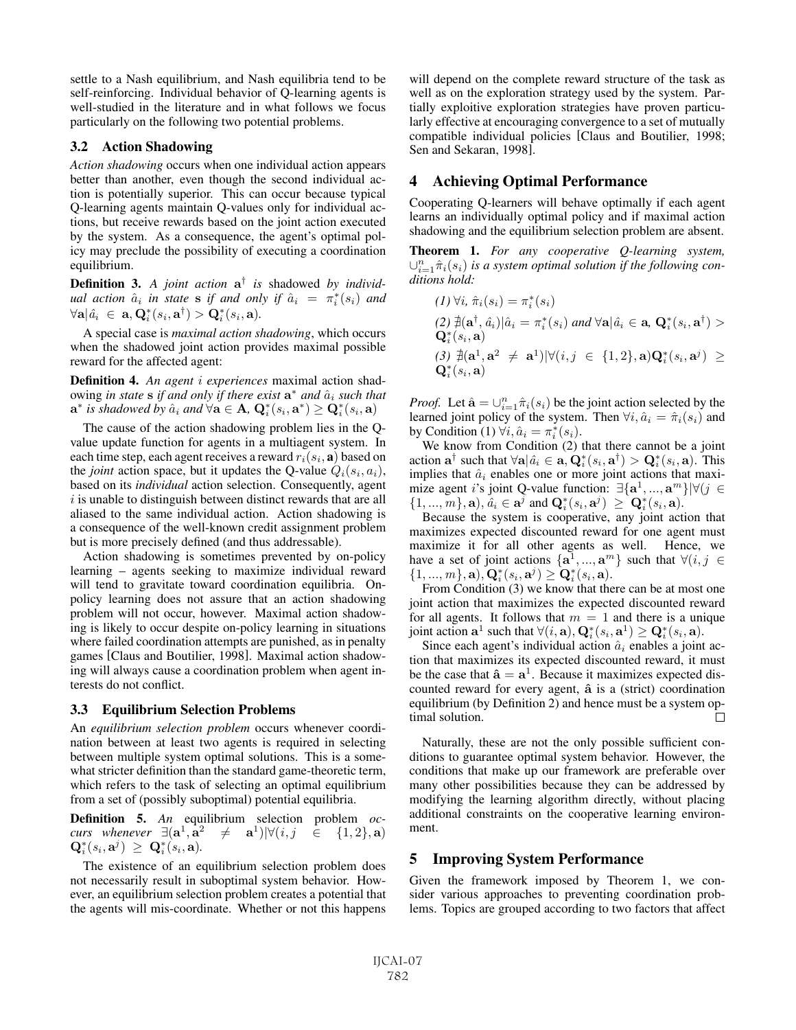settle to a Nash equilibrium, and Nash equilibria tend to be self-reinforcing. Individual behavior of Q-learning agents is well-studied in the literature and in what follows we focus particularly on the following two potential problems.

### 3.2 Action Shadowing

*Action shadowing* occurs when one individual action appears better than another, even though the second individual action is potentially superior. This can occur because typical Q-learning agents maintain Q-values only for individual actions, but receive rewards based on the joint action executed by the system. As a consequence, the agent's optimal policy may preclude the possibility of executing a coordination equilibrium.

Definition 3. *A joint action* **a**† *is* shadowed *by individual action*  $\hat{a}_i$  *in state* **s** *if and only if*  $\hat{a}_i = \pi_i^*(s_i)$  *and*<br> $\forall \mathbf{a} | \hat{a}_i \in \mathbf{a} \mathbf{O}^*(s_i, \mathbf{a}) \ge \mathbf{O}^*(s_i, \mathbf{a})$  $\forall \mathbf{a} | \hat{a_i} \in \mathbf{a}, \mathbf{Q}_i^*(s_i, \mathbf{a}^\dagger) > \mathbf{Q}_i^*(s_i, \mathbf{a}).$ 

A special case is *maximal action shadowing*, which occurs when the shadowed joint action provides maximal possible reward for the affected agent:

Definition 4. *An agent* i *experiences* maximal action shadowing *in state* **s** *if and only if there exist*  $\mathbf{a}^*$  *and*  $\hat{a}_i$  *such that*  $\mathbf{a}^*$  *is shadowed by*  $\hat{a}_i$  *and*  $\forall \mathbf{a} \in \mathbf{A}$ ,  $\mathbf{Q}_i^*(s_i, \mathbf{a}^*) \geq \mathbf{Q}_i^*(s_i, \mathbf{a})$ 

The cause of the action shadowing problem lies in the Qvalue update function for agents in a multiagent system. In each time step, each agent receives a reward  $r_i(s_i, \mathbf{a})$  based on the *joint* action space, but it updates the Q-value  $Q_i(s_i, a_i)$ , based on its *individual* action selection. Consequently, agent  $i$  is unable to distinguish between distinct rewards that are all aliased to the same individual action. Action shadowing is a consequence of the well-known credit assignment problem but is more precisely defined (and thus addressable).

Action shadowing is sometimes prevented by on-policy learning – agents seeking to maximize individual reward will tend to gravitate toward coordination equilibria. Onpolicy learning does not assure that an action shadowing problem will not occur, however. Maximal action shadowing is likely to occur despite on-policy learning in situations where failed coordination attempts are punished, as in penalty games [Claus and Boutilier, 1998]. Maximal action shadowing will always cause a coordination problem when agent interests do not conflict.

#### 3.3 Equilibrium Selection Problems

An *equilibrium selection problem* occurs whenever coordination between at least two agents is required in selecting between multiple system optimal solutions. This is a somewhat stricter definition than the standard game-theoretic term, which refers to the task of selecting an optimal equilibrium from a set of (possibly suboptimal) potential equilibria.

Definition 5. *An* equilibrium selection problem *occurs whenever*  $\exists (\mathbf{a}^1, \mathbf{a}^2 \neq \mathbf{a}^1)| \forall (i, j \in \{1, 2\}, \mathbf{a})$  $\mathbf{Q}_i^*(s_i, \mathbf{a}^j) \geq \mathbf{Q}_i^*(s_i, \mathbf{a}).$ 

The existence of an equilibrium selection problem does not necessarily result in suboptimal system behavior. However, an equilibrium selection problem creates a potential that the agents will mis-coordinate. Whether or not this happens will depend on the complete reward structure of the task as well as on the exploration strategy used by the system. Partially exploitive exploration strategies have proven particularly effective at encouraging convergence to a set of mutually compatible individual policies [Claus and Boutilier, 1998; Sen and Sekaran, 1998].

# 4 Achieving Optimal Performance

Cooperating Q-learners will behave optimally if each agent learns an individually optimal policy and if maximal action shadowing and the equilibrium selection problem are absent.

Theorem 1. *For any cooperative Q-learning system,*  $∪_{i=1}^{n}$   $\hat{\pi}_i(s_i)$  *is a system optimal solution if the following con-*<br>ditions hold: *ditions hold:*

$$
(1) \forall i, \hat{\pi}_i(s_i) = \pi_i^*(s_i)
$$
  
\n
$$
(2) \nexists (\mathbf{a}^\dagger, \hat{a}_i) | \hat{a}_i = \pi_i^*(s_i) \text{ and } \forall \mathbf{a} | \hat{a}_i \in \mathbf{a}, \mathbf{Q}_i^*(s_i, \mathbf{a}^\dagger) > \mathbf{Q}_i^*(s_i, \mathbf{a})
$$
  
\n
$$
(3) \nexists (\mathbf{a}^1, \mathbf{a}^2 \neq \mathbf{a}^1) | \forall (i, j \in \{1, 2\}, \mathbf{a}) \mathbf{Q}_i^*(s_i, \mathbf{a}^j) \ge \mathbf{Q}_i^*(s_i, \mathbf{a})
$$

*Proof.* Let  $\hat{\mathbf{a}} = \bigcup_{i=1}^{n} \hat{\pi}_i(s_i)$  be the joint action selected by the learned joint policy of the system. Then  $\forall i$ ,  $\hat{\alpha}_i = \hat{\pi}_i(s_i)$  and learned joint policy of the system. Then  $\forall i, \hat{a}_i = \hat{\pi}_i(s_i)$  and by Condition (1)  $\forall i, \hat{a}_i = \pi_i^*(s_i)$ .<br>We know from Condition (2)

We know from Condition (2) that there cannot be a joint action  $\mathbf{a}^{\dagger}$  such that  $\forall \mathbf{a} | \hat{a}_i \in \mathbf{a}, \mathbf{Q}_i^*(s_i, \mathbf{a}^{\dagger}) > \mathbf{Q}_i^*(s_i, \mathbf{a})$ . This implies that  $\hat{a}_i$  enables one or more joint actions that maxiimplies that  $\hat{a}_i$  enables one or more joint actions that maximize agent <sup>i</sup>'s joint Q-value function: ∃{**a**<sup>1</sup>, ..., **<sup>a</sup>**<sup>m</sup>}|∀(<sup>j</sup> <sup>∈</sup>  $\{1, ..., m\}, \mathbf{a}), \hat{a}_i \in \mathbf{a}^j \text{ and } \mathbf{Q}_i^*(s_i, \mathbf{a}^j) \geq \mathbf{Q}_i^*(s_i, \mathbf{a}).$ <br>Because the system is cooperative any joint act

Because the system is cooperative, any joint action that maximizes expected discounted reward for one agent must maximize it for all other agents as well. Hence, we have a set of joint actions  $\{a^1, ..., a^m\}$  such that  $\forall (i, j \in$  $\{1, ..., m\}, \mathbf{a}), \mathbf{Q}_i^*(s_i, \mathbf{a}^j) \geq \mathbf{Q}_i^*(s_i, \mathbf{a}).$ <br>From Condition (3) we know that the

From Condition (3) we know that there can be at most one joint action that maximizes the expected discounted reward for all agents. It follows that  $m = 1$  and there is a unique joint action  $\mathbf{a}^1$  such that  $\forall (i, \mathbf{a}), \mathbf{Q}_i^*(s_i, \mathbf{a}^1) \geq \mathbf{Q}_i^*(s_i, \mathbf{a})$ .<br>Since each agent's individual action  $\hat{a}_i$  enables a joint

Since each agent's individual action  $\hat{a}_i$  enables a joint action that maximizes its expected discounted reward, it must be the case that  $\hat{\mathbf{a}} = \mathbf{a}^1$ . Because it maximizes expected discounted reward for every agent,  $\hat{a}$  is a (strict) coordination equilibrium (by Definition 2) and hence must be a system op- $\Box$ timal solution.

Naturally, these are not the only possible sufficient conditions to guarantee optimal system behavior. However, the conditions that make up our framework are preferable over many other possibilities because they can be addressed by modifying the learning algorithm directly, without placing additional constraints on the cooperative learning environment.

## 5 Improving System Performance

Given the framework imposed by Theorem 1, we consider various approaches to preventing coordination problems. Topics are grouped according to two factors that affect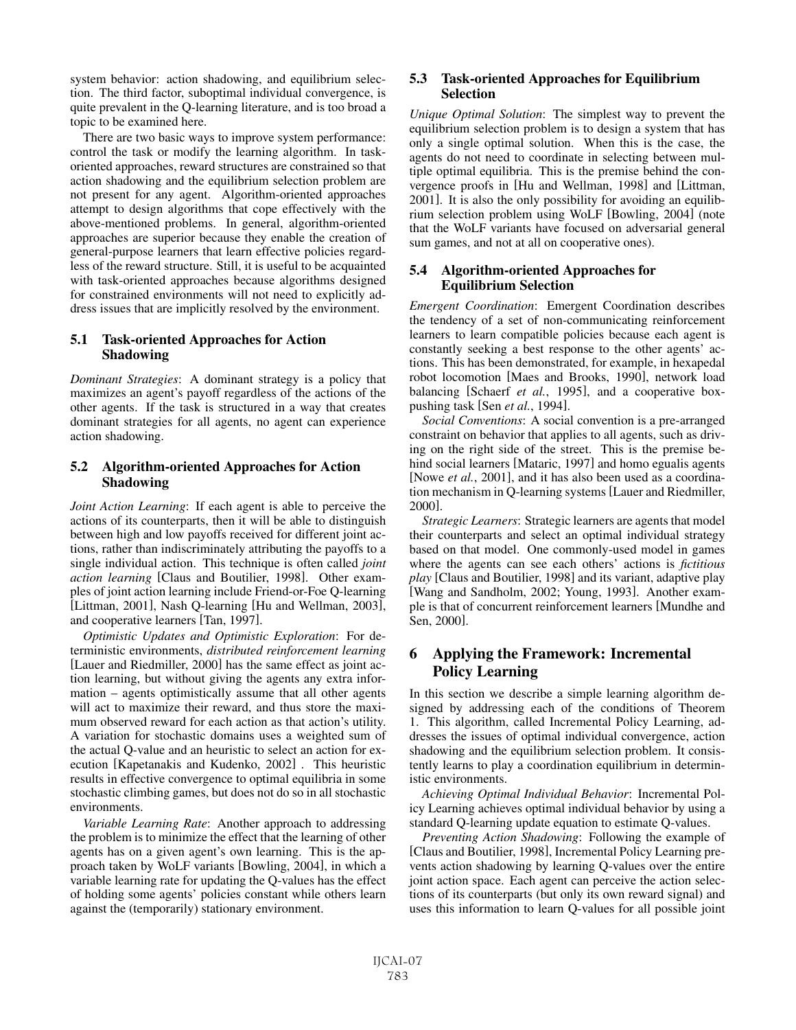system behavior: action shadowing, and equilibrium selection. The third factor, suboptimal individual convergence, is quite prevalent in the Q-learning literature, and is too broad a topic to be examined here.

There are two basic ways to improve system performance: control the task or modify the learning algorithm. In taskoriented approaches, reward structures are constrained so that action shadowing and the equilibrium selection problem are not present for any agent. Algorithm-oriented approaches attempt to design algorithms that cope effectively with the above-mentioned problems. In general, algorithm-oriented approaches are superior because they enable the creation of general-purpose learners that learn effective policies regardless of the reward structure. Still, it is useful to be acquainted with task-oriented approaches because algorithms designed for constrained environments will not need to explicitly address issues that are implicitly resolved by the environment.

# 5.1 Task-oriented Approaches for Action Shadowing

*Dominant Strategies*: A dominant strategy is a policy that maximizes an agent's payoff regardless of the actions of the other agents. If the task is structured in a way that creates dominant strategies for all agents, no agent can experience action shadowing.

## 5.2 Algorithm-oriented Approaches for Action Shadowing

*Joint Action Learning*: If each agent is able to perceive the actions of its counterparts, then it will be able to distinguish between high and low payoffs received for different joint actions, rather than indiscriminately attributing the payoffs to a single individual action. This technique is often called *joint action learning* [Claus and Boutilier, 1998]. Other examples of joint action learning include Friend-or-Foe Q-learning [Littman, 2001], Nash Q-learning [Hu and Wellman, 2003], and cooperative learners [Tan, 1997].

*Optimistic Updates and Optimistic Exploration*: For deterministic environments, *distributed reinforcement learning* [Lauer and Riedmiller, 2000] has the same effect as joint action learning, but without giving the agents any extra information – agents optimistically assume that all other agents will act to maximize their reward, and thus store the maximum observed reward for each action as that action's utility. A variation for stochastic domains uses a weighted sum of the actual Q-value and an heuristic to select an action for execution [Kapetanakis and Kudenko, 2002] . This heuristic results in effective convergence to optimal equilibria in some stochastic climbing games, but does not do so in all stochastic environments.

*Variable Learning Rate*: Another approach to addressing the problem is to minimize the effect that the learning of other agents has on a given agent's own learning. This is the approach taken by WoLF variants [Bowling, 2004], in which a variable learning rate for updating the Q-values has the effect of holding some agents' policies constant while others learn against the (temporarily) stationary environment.

## 5.3 Task-oriented Approaches for Equilibrium Selection

*Unique Optimal Solution*: The simplest way to prevent the equilibrium selection problem is to design a system that has only a single optimal solution. When this is the case, the agents do not need to coordinate in selecting between multiple optimal equilibria. This is the premise behind the convergence proofs in [Hu and Wellman, 1998] and [Littman, 2001]. It is also the only possibility for avoiding an equilibrium selection problem using WoLF [Bowling, 2004] (note that the WoLF variants have focused on adversarial general sum games, and not at all on cooperative ones).

# 5.4 Algorithm-oriented Approaches for Equilibrium Selection

*Emergent Coordination*: Emergent Coordination describes the tendency of a set of non-communicating reinforcement learners to learn compatible policies because each agent is constantly seeking a best response to the other agents' actions. This has been demonstrated, for example, in hexapedal robot locomotion [Maes and Brooks, 1990], network load balancing [Schaerf *et al.*, 1995], and a cooperative boxpushing task [Sen *et al.*, 1994].

*Social Conventions*: A social convention is a pre-arranged constraint on behavior that applies to all agents, such as driving on the right side of the street. This is the premise behind social learners [Mataric, 1997] and homo egualis agents [Nowe *et al.*, 2001], and it has also been used as a coordination mechanism in Q-learning systems [Lauer and Riedmiller, 2000].

*Strategic Learners*: Strategic learners are agents that model their counterparts and select an optimal individual strategy based on that model. One commonly-used model in games where the agents can see each others' actions is *fictitious play* [Claus and Boutilier, 1998] and its variant, adaptive play [Wang and Sandholm, 2002; Young, 1993]. Another example is that of concurrent reinforcement learners [Mundhe and Sen, 2000].

# 6 Applying the Framework: Incremental Policy Learning

In this section we describe a simple learning algorithm designed by addressing each of the conditions of Theorem 1. This algorithm, called Incremental Policy Learning, addresses the issues of optimal individual convergence, action shadowing and the equilibrium selection problem. It consistently learns to play a coordination equilibrium in deterministic environments.

*Achieving Optimal Individual Behavior*: Incremental Policy Learning achieves optimal individual behavior by using a standard Q-learning update equation to estimate Q-values.

*Preventing Action Shadowing*: Following the example of [Claus and Boutilier, 1998], Incremental Policy Learning prevents action shadowing by learning Q-values over the entire joint action space. Each agent can perceive the action selections of its counterparts (but only its own reward signal) and uses this information to learn Q-values for all possible joint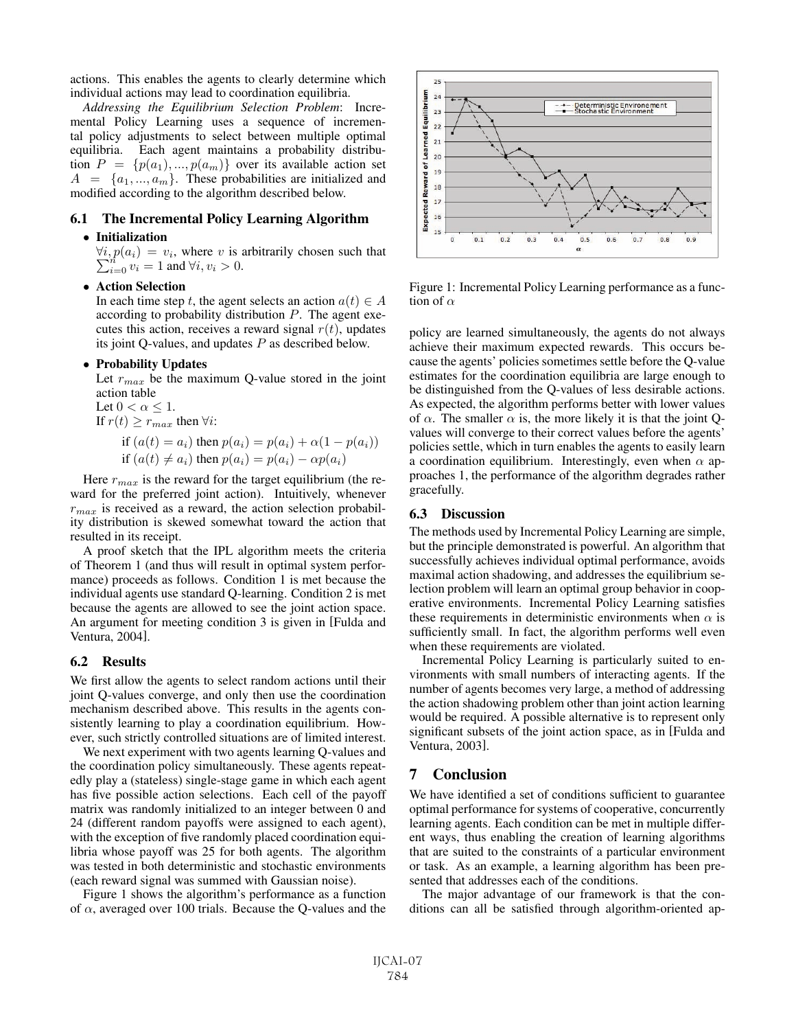actions. This enables the agents to clearly determine which individual actions may lead to coordination equilibria.

*Addressing the Equilibrium Selection Problem*: Incremental Policy Learning uses a sequence of incremental policy adjustments to select between multiple optimal equilibria. Each agent maintains a probability distribution  $P = \{p(a_1), ..., p(a_m)\}\$  over its available action set  $A = \{a_1, ..., a_m\}$ . These probabilities are initialized and modified according to the algorithm described below.

#### 6.1 The Incremental Policy Learning Algorithm

#### • Initialization

 $\forall i, p(a_i) = v_i$ , where v is arbitrarily chosen such that  $\sum_{i=1}^{n} y_i = 1$  and  $\forall i, v_i > 0$  $\sum_{i=0}^{n} v_i = 1$  and  $\forall i, v_i > 0$ .

• Action Selection

In each time step t, the agent selects an action  $a(t) \in A$ according to probability distribution  $P$ . The agent executes this action, receives a reward signal  $r(t)$ , updates its joint Q-values, and updates  $P$  as described below.

#### • Probability Updates

Let  $r_{max}$  be the maximum Q-value stored in the joint action table

Let  $0 < \alpha \leq 1$ . If  $r(t) \geq r_{max}$  then  $\forall i$ : if  $(a(t) = a_i)$  then  $p(a_i) = p(a_i) + \alpha(1 - p(a_i))$ 

if 
$$
(a(t) \neq a_i)
$$
 then  $p(a_i) = p(a_i) - \alpha p(a_i)$ 

Here  $r_{max}$  is the reward for the target equilibrium (the reward for the preferred joint action). Intuitively, whenever  $r_{max}$  is received as a reward, the action selection probability distribution is skewed somewhat toward the action that resulted in its receipt.

A proof sketch that the IPL algorithm meets the criteria of Theorem 1 (and thus will result in optimal system performance) proceeds as follows. Condition 1 is met because the individual agents use standard Q-learning. Condition 2 is met because the agents are allowed to see the joint action space. An argument for meeting condition 3 is given in [Fulda and Ventura, 2004].

#### 6.2 Results

We first allow the agents to select random actions until their joint Q-values converge, and only then use the coordination mechanism described above. This results in the agents consistently learning to play a coordination equilibrium. However, such strictly controlled situations are of limited interest.

We next experiment with two agents learning Q-values and the coordination policy simultaneously. These agents repeatedly play a (stateless) single-stage game in which each agent has five possible action selections. Each cell of the payoff matrix was randomly initialized to an integer between 0 and 24 (different random payoffs were assigned to each agent), with the exception of five randomly placed coordination equilibria whose payoff was 25 for both agents. The algorithm was tested in both deterministic and stochastic environments (each reward signal was summed with Gaussian noise).

Figure 1 shows the algorithm's performance as a function of  $\alpha$ , averaged over 100 trials. Because the Q-values and the



Figure 1: Incremental Policy Learning performance as a function of  $\alpha$ 

policy are learned simultaneously, the agents do not always achieve their maximum expected rewards. This occurs because the agents' policies sometimes settle before the Q-value estimates for the coordination equilibria are large enough to be distinguished from the Q-values of less desirable actions. As expected, the algorithm performs better with lower values of  $\alpha$ . The smaller  $\alpha$  is, the more likely it is that the joint Qvalues will converge to their correct values before the agents' policies settle, which in turn enables the agents to easily learn a coordination equilibrium. Interestingly, even when  $\alpha$  approaches 1, the performance of the algorithm degrades rather gracefully.

#### 6.3 Discussion

The methods used by Incremental Policy Learning are simple, but the principle demonstrated is powerful. An algorithm that successfully achieves individual optimal performance, avoids maximal action shadowing, and addresses the equilibrium selection problem will learn an optimal group behavior in cooperative environments. Incremental Policy Learning satisfies these requirements in deterministic environments when  $\alpha$  is sufficiently small. In fact, the algorithm performs well even when these requirements are violated.

Incremental Policy Learning is particularly suited to environments with small numbers of interacting agents. If the number of agents becomes very large, a method of addressing the action shadowing problem other than joint action learning would be required. A possible alternative is to represent only significant subsets of the joint action space, as in [Fulda and Ventura, 2003].

### 7 Conclusion

We have identified a set of conditions sufficient to guarantee optimal performance for systems of cooperative, concurrently learning agents. Each condition can be met in multiple different ways, thus enabling the creation of learning algorithms that are suited to the constraints of a particular environment or task. As an example, a learning algorithm has been presented that addresses each of the conditions.

The major advantage of our framework is that the conditions can all be satisfied through algorithm-oriented ap